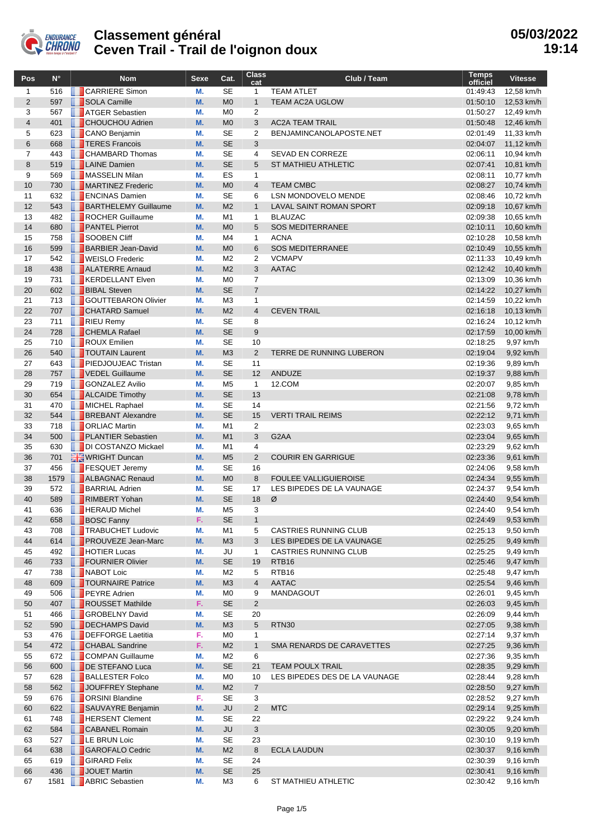

| Pos            | $N^{\circ}$ | <b>Nom</b>                                  | <b>Sexe</b>     | Cat.                        | Class<br>cat                   | Club / Team                    | <b>Temps</b><br>officiel | <b>Vitesse</b>           |
|----------------|-------------|---------------------------------------------|-----------------|-----------------------------|--------------------------------|--------------------------------|--------------------------|--------------------------|
| $\mathbf{1}$   | 516         | <b>CARRIERE</b> Simon                       | М.              | <b>SE</b>                   | $\mathbf{1}$                   | <b>TEAM ATLET</b>              | 01:49:43                 | 12,58 km/h               |
| $\overline{2}$ | 597         | SOLA Camille                                | <b>M.</b>       | M <sub>0</sub>              | $\mathbf{1}$                   | TEAM AC2A UGLOW                | 01:50:10                 | 12,53 km/h               |
| 3              | 567         | <b>ATGER Sebastien</b>                      | М.              | M <sub>0</sub>              | 2                              |                                | 01:50:27                 | 12,49 km/h               |
| $\overline{4}$ | 401         | <b>CHOUCHOU Adrien</b>                      | M.              | M <sub>0</sub>              | 3                              | <b>AC2A TEAM TRAIL</b>         | 01:50:48                 | 12,46 km/h               |
| 5              | 623         | CANO Benjamin                               | М.              | <b>SE</b>                   | $\overline{2}$                 | BENJAMINCANOLAPOSTE.NET        | 02:01:49                 | 11,33 km/h               |
| $6\phantom{1}$ | 668         | <b>T</b> TERES Francois                     | M.              | <b>SE</b>                   | 3                              |                                | 02:04:07                 | 11,12 km/h               |
| $\overline{7}$ | 443         | <b>CHAMBARD Thomas</b>                      | М.              | <b>SE</b>                   | 4                              | <b>SEVAD EN CORREZE</b>        | 02:06:11                 | 10,94 km/h               |
| 8              | 519         | <b>LAINE</b> Damien<br>MASSELIN Milan       | <b>M.</b>       | <b>SE</b>                   | 5                              | <b>ST MATHIEU ATHLETIC</b>     | 02:07:41                 | 10,81 km/h               |
| 9<br>10        | 569<br>730  | MARTINEZ Frederic                           | М.<br><b>M.</b> | ES<br>M <sub>0</sub>        | $\mathbf{1}$<br>$\overline{4}$ | <b>TEAM CMBC</b>               | 02:08:11<br>02:08:27     | 10.77 km/h               |
| 11             | 632         | <b>ENCINAS Damien</b>                       | М.              | <b>SE</b>                   | 6                              | LSN MONDOVELO MENDE            | 02:08:46                 | 10,74 km/h<br>10,72 km/h |
| 12             | 543         | <b>BARTHELEMY Guillaume</b>                 | <b>M.</b>       | M <sub>2</sub>              | $\mathbf{1}$                   | <b>LAVAL SAINT ROMAN SPORT</b> | 02:09:18                 | 10,67 km/h               |
| 13             | 482         | ROCHER Guillaume                            | М.              | M <sub>1</sub>              | $\mathbf{1}$                   | <b>BLAUZAC</b>                 | 02:09:38                 | 10,65 km/h               |
| 14             | 680         | <b>PANTEL Pierrot</b>                       | <b>M.</b>       | M <sub>0</sub>              | 5                              | <b>SOS MEDITERRANEE</b>        | 02:10:11                 | 10,60 km/h               |
| 15             | 758         | SOOBEN Cliff                                | М.              | M4                          | $\mathbf{1}$                   | <b>ACNA</b>                    | 02:10:28                 | 10,58 km/h               |
| 16             | 599         | <b>BARBIER Jean-David</b>                   | <b>M.</b>       | M <sub>0</sub>              | 6                              | <b>SOS MEDITERRANEE</b>        | 02:10:49                 | 10,55 km/h               |
| 17             | 542         | <b>N</b> WEISLO Frederic                    | М.              | M <sub>2</sub>              | $\overline{2}$                 | <b>VCMAPV</b>                  | 02:11:33                 | 10,49 km/h               |
| 18             | 438         | <b>ALATERRE</b> Arnaud                      | <b>M.</b>       | M <sub>2</sub>              | 3                              | <b>AATAC</b>                   | 02:12:42                 | 10,40 km/h               |
| 19             | 731         | <b>KERDELLANT Elven</b>                     | М.              | M <sub>0</sub>              | $\overline{7}$                 |                                | 02:13:09                 | 10,36 km/h               |
| 20             | 602         | <b>BIBAL Steven</b>                         | <b>M.</b>       | <b>SE</b>                   | $\overline{7}$                 |                                | 02:14:22                 | 10,27 km/h               |
| 21             | 713         | <b>GOUTTEBARON Olivier</b>                  | М.              | M <sub>3</sub>              | 1                              |                                | 02:14:59                 | 10,22 km/h               |
| 22             | 707         | <b>CHATARD Samuel</b>                       | M.              | M <sub>2</sub>              | $\overline{4}$                 | <b>CEVEN TRAIL</b>             | 02:16:18                 | 10,13 km/h               |
| 23             | 711         | RIEU Remy                                   | М.              | <b>SE</b><br><b>SE</b>      | 8                              |                                | 02:16:24                 | 10,12 km/h               |
| 24             | 728<br>710  | <b>CHEMLA Rafael</b><br><b>ROUX Emilien</b> | <b>M.</b><br>М. | <b>SE</b>                   | 9<br>10                        |                                | 02:17:59                 | 10,00 km/h<br>9,97 km/h  |
| 25<br>26       | 540         | <b>T</b> TOUTAIN Laurent                    | <b>M.</b>       | M <sub>3</sub>              | $\overline{2}$                 | TERRE DE RUNNING LUBERON       | 02:18:25<br>02:19:04     | 9,92 km/h                |
| 27             | 643         | <b>PIEDJOUJEAC Tristan</b>                  | М.              | <b>SE</b>                   | 11                             |                                | 02:19:36                 | 9,89 km/h                |
| 28             | 757         | VEDEL Guillaume                             | <b>M.</b>       | <b>SE</b>                   | 12                             | ANDUZE                         | 02:19:37                 | 9,88 km/h                |
| 29             | 719         | <b>GONZALEZ Avilio</b>                      | М.              | M <sub>5</sub>              | $\mathbf{1}$                   | 12.COM                         | 02:20:07                 | 9,85 km/h                |
| 30             | 654         | <b>ALCAIDE Timothy</b>                      | M.              | <b>SE</b>                   | 13                             |                                | 02:21:08                 | 9,78 km/h                |
| 31             | 470         | MICHEL Raphael                              | М.              | <b>SE</b>                   | 14                             |                                | 02:21:56                 | 9,72 km/h                |
| 32             | 544         | <b>BREBANT Alexandre</b>                    | <b>M.</b>       | <b>SE</b>                   | 15                             | <b>VERTI TRAIL REIMS</b>       | 02:22:12                 | 9,71 km/h                |
| 33             | 718         | <b>D</b> ORLIAC Martin                      | М.              | M <sub>1</sub>              | $\overline{2}$                 |                                | 02:23:03                 | 9,65 km/h                |
| 34             | 500         | <b>PLANTIER Sebastien</b>                   | M.              | M1                          | 3                              | G <sub>2</sub> AA              | 02:23:04                 | 9,65 km/h                |
| 35             | 630         | DI COSTANZO Mickael                         | М.              | M <sub>1</sub>              | 4                              |                                | 02:23:29                 | 9,62 km/h                |
| 36             | 701         | WRIGHT Duncan                               | <b>M.</b>       | M <sub>5</sub>              | $\overline{2}$                 | <b>COURIR EN GARRIGUE</b>      | 02:23:36                 | 9,61 km/h                |
| 37             | 456         | <b>FESQUET Jeremy</b>                       | М.              | <b>SE</b>                   | 16                             |                                | 02:24:06                 | 9,58 km/h                |
| 38             | 1579        | ALBAGNAC Renaud                             | M.              | M <sub>0</sub>              | 8                              | <b>FOULEE VALLIGUIEROISE</b>   | 02:24:34                 | 9,55 km/h                |
| 39<br>40       | 572<br>589  | <b>BARRIAL Adrien</b><br>RIMBERT Yohan      | М.<br><b>M.</b> | <b>SE</b><br><b>SE</b>      | 17<br>18                       | LES BIPEDES DE LA VAUNAGE<br>Ø | 02:24:37<br>02:24:40     | 9,54 km/h<br>9,54 km/h   |
| 41             | 636         | <b>THERAUD Michel</b>                       | М.              | M <sub>5</sub>              | 3                              |                                | 02:24:40                 | 9,54 km/h                |
| 42             | 658         | BOSC Fanny                                  | F.              | SE                          | 1                              |                                | 02:24:49                 | 9,53 km/h                |
| 43             | 708         | <b>TRABUCHET Ludovic</b>                    | М.              | M1                          | 5                              | <b>CASTRIES RUNNING CLUB</b>   | 02:25:13                 | 9,50 km/h                |
| 44             | 614         | <b>PROUVEZE Jean-Marc</b>                   | M.              | M <sub>3</sub>              | 3                              | LES BIPEDES DE LA VAUNAGE      | 02:25:25                 | 9,49 km/h                |
| 45             | 492         | <b>HOTIER Lucas</b>                         | М.              | JU                          | $\mathbf{1}$                   | <b>CASTRIES RUNNING CLUB</b>   | 02:25:25                 | 9,49 km/h                |
| 46             | 733         | FOURNIER Olivier                            | M.              | <b>SE</b>                   | 19                             | RTB <sub>16</sub>              | 02:25:46                 | 9,47 km/h                |
| 47             | 738         | NABOT Loic                                  | М.              | M <sub>2</sub>              | 5                              | RTB <sub>16</sub>              | 02:25:48                 | 9,47 km/h                |
| 48             | 609         | TOURNAIRE Patrice                           | M.              | M <sub>3</sub>              | $\overline{4}$                 | <b>AATAC</b>                   | 02:25:54                 | 9,46 km/h                |
| 49             | 506         | <b>PEYRE Adrien</b>                         | М.              | M <sub>0</sub>              | 9                              | MANDAGOUT                      | 02:26:01                 | 9,45 km/h                |
| 50             | 407         | ROUSSET Mathilde                            | F.              | <b>SE</b>                   | $\overline{2}$                 |                                | 02:26:03                 | 9,45 km/h                |
| 51             | 466         | <b>GROBELNY David</b>                       | М.              | <b>SE</b>                   | 20                             |                                | 02:26:09                 | 9,44 km/h                |
| 52             | 590         | DECHAMPS David                              | M.              | M <sub>3</sub>              | 5                              | <b>RTN30</b>                   | 02:27:05                 | 9,38 km/h                |
| 53             | 476         | DEFFORGE Laetitia                           | F.              | M0                          | $\mathbf{1}$                   |                                | 02:27:14                 | 9,37 km/h                |
| 54             | 472         | <b>CHABAL Sandrine</b>                      | F.              | M <sub>2</sub>              | $\mathbf 1$                    | SMA RENARDS DE CARAVETTES      | 02:27:25                 | 9,36 km/h                |
| 55<br>56       | 672<br>600  | COMPAN Guillaume<br>DE STEFANO Luca         | М.<br>M.        | M <sub>2</sub><br><b>SE</b> | 6<br>21                        | <b>TEAM POULX TRAIL</b>        | 02:27:36<br>02:28:35     | 9,35 km/h<br>9,29 km/h   |
| 57             | 628         | <b>BALLESTER Folco</b>                      | М.              | M <sub>0</sub>              | 10                             | LES BIPEDES DES DE LA VAUNAGE  | 02:28:44                 | 9,28 km/h                |
| 58             | 562         | JOUFFREY Stephane                           | M.              | M <sub>2</sub>              | $\overline{7}$                 |                                | 02:28:50                 | 9,27 km/h                |
| 59             | 676         | <b>D</b> ORSINI Blandine                    | F.              | SE                          | 3                              |                                | 02:28:52                 | 9,27 km/h                |
| 60             | 622         | SAUVAYRE Benjamin                           | M.              | <b>JU</b>                   | $\overline{2}$                 | <b>MTC</b>                     | 02:29:14                 | 9,25 km/h                |
| 61             | 748         | <b>HERSENT Clement</b>                      | М.              | SE                          | 22                             |                                | 02:29:22                 | 9,24 km/h                |
| 62             | 584         | <b>CABANEL Romain</b>                       | M.              | JU                          | 3                              |                                | 02:30:05                 | 9,20 km/h                |
| 63             | 527         | <b>LE BRUN Loic</b>                         | M.              | <b>SE</b>                   | 23                             |                                | 02:30:10                 | 9,19 km/h                |
| 64             | 638         | <b>GAROFALO Cedric</b>                      | M.              | M <sub>2</sub>              | 8                              | <b>ECLA LAUDUN</b>             | 02:30:37                 | 9,16 km/h                |
| 65             | 619         | <b>GIRARD Felix</b>                         | М.              | SE                          | 24                             |                                | 02:30:39                 | 9,16 km/h                |
| 66             | 436         | JOUET Martin                                | M.              | <b>SE</b>                   | 25                             |                                | 02:30:41                 | 9,16 km/h                |
| 67             | 1581        | <b>ABRIC Sebastien</b>                      | М.              | ΜЗ                          | 6                              | ST MATHIEU ATHLETIC            | 02:30:42                 | 9,16 km/h                |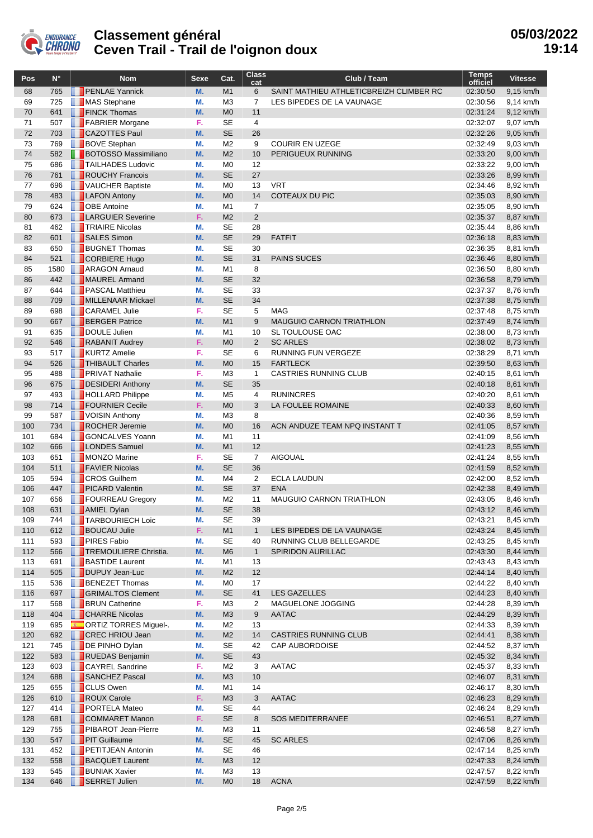

| Pos        | $N^{\circ}$ | <b>Nom</b>                                              | Sexe     | Cat.                             | <b>Class</b><br>cat  | Club / Team                                        | Temps<br>officiel    | <b>Vitesse</b>         |
|------------|-------------|---------------------------------------------------------|----------|----------------------------------|----------------------|----------------------------------------------------|----------------------|------------------------|
| 68         | 765         | <b>PENLAE Yannick</b>                                   | M.       | M1                               | 6                    | SAINT MATHIEU ATHLETICBREIZH CLIMBER RC            | 02:30:50             | 9,15 km/h              |
| 69         | 725         | MAS Stephane                                            | М.       | M <sub>3</sub>                   | 7                    | LES BIPEDES DE LA VAUNAGE                          | 02:30:56             | 9,14 km/h              |
| 70         | 641         | <b>FINCK Thomas</b>                                     | M.       | M <sub>0</sub>                   | 11                   |                                                    | 02:31:24             | 9,12 km/h              |
| 71         | 507         | FABRIER Morgane                                         | F.       | <b>SE</b>                        | $\overline{4}$       |                                                    | 02:32:07             | 9,07 km/h              |
| 72         | 703         | CAZOTTES Paul                                           | M.       | <b>SE</b>                        | 26                   |                                                    | 02:32:26             | 9,05 km/h              |
| 73         | 769         | <b>BOVE</b> Stephan                                     | М.       | M <sub>2</sub>                   | 9                    | <b>COURIR EN UZEGE</b>                             | 02:32:49             | 9,03 km/h              |
| 74<br>75   | 582<br>686  | <b>BOTOSSO Massimiliano</b>                             | M.<br>М. | M <sub>2</sub><br>M <sub>0</sub> | 10<br>12             | PERIGUEUX RUNNING                                  | 02:33:20<br>02:33:22 | 9,00 km/h              |
| 76         | 761         | <b>TAILHADES Ludovic</b><br>ROUCHY Francois             | M.       | <b>SE</b>                        | 27                   |                                                    | 02:33:26             | 9,00 km/h<br>8,99 km/h |
| 77         | 696         | VAUCHER Baptiste                                        | М.       | M <sub>0</sub>                   | 13                   | <b>VRT</b>                                         | 02:34:46             | 8,92 km/h              |
| 78         | 483         | <b>LAFON Antony</b>                                     | M.       | M <sub>0</sub>                   | 14                   | <b>COTEAUX DU PIC</b>                              | 02:35:03             | 8,90 km/h              |
| 79         | 624         | <b>DOBE</b> Antoine                                     | М.       | M1                               | $\overline{7}$       |                                                    | 02:35:05             | 8,90 km/h              |
| 80         | 673         | <b>LARGUIER Severine</b>                                | F.       | M <sub>2</sub>                   | 2                    |                                                    | 02:35:37             | 8,87 km/h              |
| 81         | 462         | <b>TRIAIRE Nicolas</b>                                  | М.       | <b>SE</b>                        | 28                   |                                                    | 02:35:44             | 8,86 km/h              |
| 82         | 601         | SALES Simon                                             | M.       | <b>SE</b>                        | 29                   | <b>FATFIT</b>                                      | 02:36:18             | 8,83 km/h              |
| 83         | 650         | <b>BUGNET Thomas</b>                                    | М.       | <b>SE</b>                        | 30                   |                                                    | 02:36:35             | 8,81 km/h              |
| 84         | 521         | CORBIERE Hugo                                           | M.       | <b>SE</b>                        | 31                   | <b>PAINS SUCES</b>                                 | 02:36:46             | 8,80 km/h              |
| 85         | 1580        | <b>ARAGON Arnaud</b>                                    | М.       | M1                               | 8                    |                                                    | 02:36:50             | 8,80 km/h              |
| 86         | 442         | MAUREL Armand                                           | M.       | <b>SE</b>                        | 32                   |                                                    | 02:36:58             | 8,79 km/h              |
| 87         | 644         | <b>PASCAL Matthieu</b>                                  | М.       | <b>SE</b>                        | 33                   |                                                    | 02:37:37             | 8,76 km/h              |
| 88         | 709         | MILLENAAR Mickael                                       | M.       | <b>SE</b>                        | 34                   |                                                    | 02:37:38             | 8,75 km/h              |
| 89         | 698         | <b>CARAMEL Julie</b>                                    | F.<br>M. | <b>SE</b>                        | 5<br>9               | <b>MAG</b>                                         | 02:37:48<br>02:37:49 | 8,75 km/h              |
| 90<br>91   | 667<br>635  | <b>BERGER Patrice</b><br>DOULE Julien                   | М.       | M1<br>M1                         | 10                   | <b>MAUGUIO CARNON TRIATHLON</b><br>SL TOULOUSE OAC | 02:38:00             | 8,74 km/h<br>8,73 km/h |
| 92         | 546         | RABANIT Audrey                                          | F.       | M <sub>0</sub>                   | 2                    | <b>SC ARLES</b>                                    | 02:38:02             | 8,73 km/h              |
| 93         | 517         | <b>KURTZ Amelie</b>                                     | F.       | <b>SE</b>                        | 6                    | RUNNING FUN VERGEZE                                | 02:38:29             | 8,71 km/h              |
| 94         | 526         | <b>THIBAULT Charles</b>                                 | M.       | M <sub>0</sub>                   | 15                   | <b>FARTLECK</b>                                    | 02:39:50             | 8,63 km/h              |
| 95         | 488         | <b>PRIVAT Nathalie</b>                                  | F.       | M <sub>3</sub>                   | $\mathbf{1}$         | <b>CASTRIES RUNNING CLUB</b>                       | 02:40:15             | 8,61 km/h              |
| 96         | 675         | DESIDERI Anthony                                        | M.       | <b>SE</b>                        | 35                   |                                                    | 02:40:18             | 8,61 km/h              |
| 97         | 493         | <b>HOLLARD Philippe</b>                                 | М.       | M <sub>5</sub>                   | $\overline{4}$       | <b>RUNINCRES</b>                                   | 02:40:20             | 8,61 km/h              |
| 98         | 714         | <b>FOURNIER Cecile</b>                                  | F.       | M <sub>0</sub>                   | 3                    | LA FOULEE ROMAINE                                  | 02:40:33             | 8,60 km/h              |
| 99         | 587         | VOISIN Anthony                                          | М.       | M <sub>3</sub>                   | 8                    |                                                    | 02:40:36             | 8,59 km/h              |
| 100        | 734         | ROCHER Jeremie                                          | M.       | M <sub>0</sub>                   | 16                   | ACN ANDUZE TEAM NPQ INSTANT T                      | 02:41:05             | 8,57 km/h              |
| 101        | 684         | <b>GONCALVES Yoann</b>                                  | М.       | M1                               | 11                   |                                                    | 02:41:09             | 8,56 km/h              |
| 102        | 666         | <b>LONDES</b> Samuel                                    | M.       | M1                               | 12                   |                                                    | 02:41:23             | 8,55 km/h              |
| 103        | 651         | MONZO Marine                                            | F.       | <b>SE</b>                        | $\overline{7}$       | <b>AIGOUAL</b>                                     | 02:41:24             | 8,55 km/h              |
| 104<br>105 | 511<br>594  | <b>FAVIER Nicolas</b><br><b>CROS</b> Guilhem            | M.<br>М. | <b>SE</b><br>M4                  | 36<br>$\overline{2}$ | <b>ECLA LAUDUN</b>                                 | 02:41:59<br>02:42:00 | 8,52 km/h              |
| 106        | 447         | <b>PICARD Valentin</b>                                  | M.       | <b>SE</b>                        | 37                   | <b>ENA</b>                                         | 02:42:38             | 8,52 km/h<br>8,49 km/h |
| 107        | 656         | FOURREAU Gregory                                        | М.       | M <sub>2</sub>                   | 11                   | <b>MAUGUIO CARNON TRIATHLON</b>                    | 02:43:05             | 8,46 km/h              |
| 108        | 631         | <b>AMIEL Dylan</b>                                      | M.       | <b>SE</b>                        | 38                   |                                                    | 02:43:12             | 8,46 km/h              |
| 109        | 744         | <b>TARBOURIECH Loic</b>                                 | М.       | SE                               | 39                   |                                                    | 02:43:21             | 8,45 km/h              |
| 110        | 612         | <b>BOUCAU Julie</b>                                     | F.       | M1                               | $\mathbf{1}$         | LES BIPEDES DE LA VAUNAGE                          | 02:43:24             | 8,45 km/h              |
| 111        | 593         | <b>PIRES Fabio</b>                                      | М.       | <b>SE</b>                        | 40                   | RUNNING CLUB BELLEGARDE                            | 02:43:25             | 8,45 km/h              |
| 112        | 566         | TREMOULIERE Christia.                                   | M.       | M <sub>6</sub>                   | $\mathbf{1}$         | SPIRIDON AURILLAC                                  | 02:43:30             | 8,44 km/h              |
| 113        | 691         | <b>BASTIDE Laurent</b>                                  | М.       | M1                               | 13                   |                                                    | 02:43:43             | 8,43 km/h              |
| 114        | 505         | DUPUY Jean-Luc                                          | M.       | M <sub>2</sub>                   | 12                   |                                                    | 02:44:14             | 8,40 km/h              |
| 115        | 536         | <b>BENEZET Thomas</b>                                   | М.       | M <sub>0</sub>                   | 17                   |                                                    | 02:44:22             | 8,40 km/h              |
| 116        | 697         | GRIMALTOS Clement                                       | M.       | <b>SE</b>                        | 41                   | <b>LES GAZELLES</b>                                | 02:44:23             | 8,40 km/h              |
| 117        | 568         | <b>BRUN Catherine</b>                                   | F.       | MЗ                               | 2                    | MAGUELONE JOGGING                                  | 02:44:28             | 8,39 km/h              |
| 118        | 404         | <b>CHARRE Nicolas</b>                                   | M.       | M3                               | 9                    | <b>AATAC</b>                                       | 02:44:29             | 8,39 km/h              |
| 119        | 695         | <b>CORTIZ TORRES Miguel-.</b><br><b>CREC HRIOU Jean</b> | М.       | M2                               | 13                   | <b>CASTRIES RUNNING CLUB</b>                       | 02:44:33             | 8,39 km/h              |
| 120        | 692<br>745  | DE PINHO Dylan                                          | M.<br>М. | M <sub>2</sub><br><b>SE</b>      | 14<br>42             | CAP AUBORDOISE                                     | 02:44:41<br>02:44:52 | 8,38 km/h<br>8,37 km/h |
| 121<br>122 | 583         | RUEDAS Benjamin                                         | M.       | SE                               | 43                   |                                                    | 02:45:32             | 8,34 km/h              |
| 123        | 603         | <b>CAYREL Sandrine</b>                                  | F.       | M2                               | 3                    | AATAC                                              | 02:45:37             | 8,33 km/h              |
| 124        | 688         | SANCHEZ Pascal                                          | M.       | M3                               | 10                   |                                                    | 02:46:07             | 8,31 km/h              |
| 125        | 655         | <b>CLUS Owen</b>                                        | М.       | M1                               | 14                   |                                                    | 02:46:17             | 8,30 km/h              |
| 126        | 610         | ROUX Carole                                             | F.       | M3                               | 3                    | <b>AATAC</b>                                       | 02:46:23             | 8,29 km/h              |
| 127        | 414         | <b>PORTELA Mateo</b>                                    | М.       | <b>SE</b>                        | 44                   |                                                    | 02:46:24             | 8,29 km/h              |
| 128        | 681         | COMMARET Manon                                          | F.       | <b>SE</b>                        | 8                    | <b>SOS MEDITERRANEE</b>                            | 02:46:51             | 8,27 km/h              |
| 129        | 755         | PIBAROT Jean-Pierre                                     | М.       | MЗ                               | 11                   |                                                    | 02:46:58             | 8,27 km/h              |
| 130        | 547         | <b>PIT Guillaume</b>                                    | M.       | SE                               | 45                   | <b>SC ARLES</b>                                    | 02:47:06             | 8,26 km/h              |
| 131        | 452         | <b>PETITJEAN Antonin</b>                                | М.       | <b>SE</b>                        | 46                   |                                                    | 02:47:14             | 8,25 km/h              |
| 132        | 558         | <b>BACQUET Laurent</b>                                  | M.       | M3                               | 12                   |                                                    | 02:47:33             | 8,24 km/h              |
| 133        | 545         | <b>BUNIAK Xavier</b>                                    | М.       | M <sub>3</sub>                   | 13                   |                                                    | 02:47:57             | 8,22 km/h              |
| 134        | 646         | <b>SERRET Julien</b>                                    | M.       | M <sub>0</sub>                   | 18                   | <b>ACNA</b>                                        | 02:47:59             | 8,22 km/h              |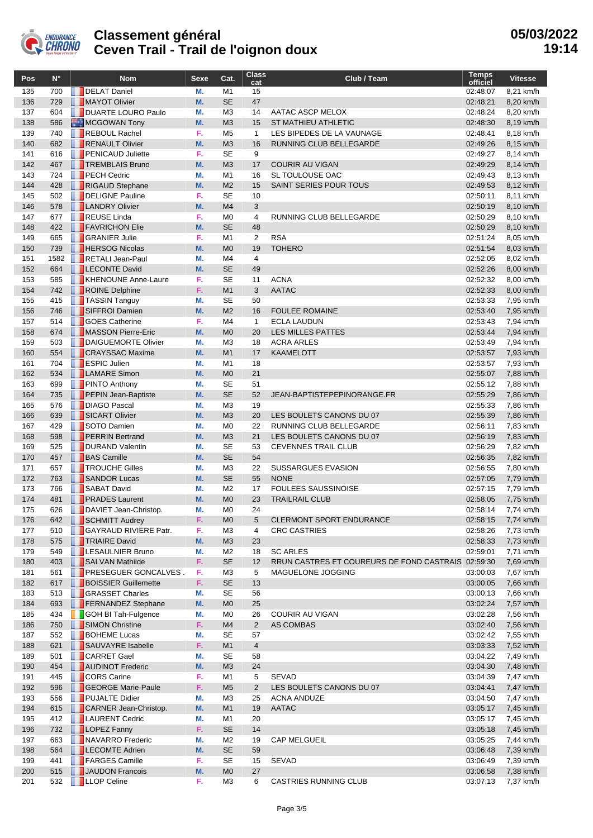

| Pos        | $N^{\circ}$ | <b>Nom</b>                                         | <b>Sexe</b>     | Cat.                             | <b>Class</b><br>cat  | Club / Team                                        | <b>Temps</b><br>officiel | <b>Vitesse</b>         |
|------------|-------------|----------------------------------------------------|-----------------|----------------------------------|----------------------|----------------------------------------------------|--------------------------|------------------------|
| 135        | 700         | DELAT Daniel                                       | М.              | M1                               | 15                   |                                                    | 02:48:07                 | 8,21 km/h              |
| 136        | 729         | MAYOT Olivier                                      | M.              | <b>SE</b>                        | 47                   |                                                    | 02:48:21                 | 8,20 km/h              |
| 137        | 604         | <b>DUARTE LOURO Paulo</b>                          | M.              | M <sub>3</sub>                   | 14                   | AATAC ASCP MELOX                                   | 02:48:24                 | 8,20 km/h              |
| 138        | 586         | MCGOWAN Tony                                       | M.              | M <sub>3</sub>                   | 15                   | <b>ST MATHIEU ATHLETIC</b>                         | 02:48:30                 | 8,19 km/h              |
| 139        | 740         | REBOUL Rachel                                      | F.              | M <sub>5</sub>                   | $\mathbf{1}$         | LES BIPEDES DE LA VAUNAGE                          | 02:48:41                 | 8,18 km/h              |
| 140        | 682         | RENAULT Olivier                                    | M.              | M <sub>3</sub>                   | 16                   | RUNNING CLUB BELLEGARDE                            | 02:49:26                 | 8,15 km/h              |
| 141<br>142 | 616<br>467  | <b>PENICAUD Juliette</b><br><b>TREMBLAIS Bruno</b> | F.<br>M.        | <b>SE</b><br>M <sub>3</sub>      | 9<br>17              | <b>COURIR AU VIGAN</b>                             | 02:49:27<br>02:49:29     | 8,14 km/h<br>8,14 km/h |
| 143        | 724         | <b>PECH Cedric</b>                                 | М.              | M1                               | 16                   | SL TOULOUSE OAC                                    | 02:49:43                 | 8,13 km/h              |
| 144        | 428         | RIGAUD Stephane                                    | M.              | M <sub>2</sub>                   | 15                   | <b>SAINT SERIES POUR TOUS</b>                      | 02:49:53                 | 8,12 km/h              |
| 145        | 502         | DELIGNE Pauline                                    | F.              | <b>SE</b>                        | 10                   |                                                    | 02:50:11                 | 8,11 km/h              |
| 146        | 578         | <b>LANDRY Olivier</b>                              | M.              | M <sub>4</sub>                   | 3                    |                                                    | 02:50:19                 | 8,10 km/h              |
| 147        | 677         | <b>REUSE Linda</b>                                 | F.              | M <sub>0</sub>                   | $\overline{4}$       | <b>RUNNING CLUB BELLEGARDE</b>                     | 02:50:29                 | 8,10 km/h              |
| 148        | 422         | <b>FAVRICHON Elie</b>                              | M.              | <b>SE</b>                        | 48                   |                                                    | 02:50:29                 | 8,10 km/h              |
| 149        | 665         | <b>GRANIER Julie</b>                               | F.              | M <sub>1</sub>                   | $\overline{2}$       | <b>RSA</b>                                         | 02:51:24                 | 8,05 km/h              |
| 150        | 739         | <b>HERSOG Nicolas</b>                              | M.              | M <sub>0</sub>                   | 19                   | <b>TOHERO</b>                                      | 02:51:54                 | 8,03 km/h              |
| 151        | 1582        | RETALI Jean-Paul                                   | М.              | M4                               | 4                    |                                                    | 02:52:05                 | 8,02 km/h              |
| 152        | 664         | <b>LECONTE David</b>                               | M.              | <b>SE</b>                        | 49                   |                                                    | 02:52:26                 | 8,00 km/h              |
| 153        | 585         | KHENOUNE Anne-Laure                                | F.              | <b>SE</b>                        | 11                   | <b>ACNA</b>                                        | 02:52:32                 | 8.00 km/h              |
| 154        | 742         | ROINE Delphine                                     | F.              | M1                               | 3                    | <b>AATAC</b>                                       | 02:52:33                 | 8,00 km/h              |
| 155        | 415         | <b>T</b> TASSIN Tanguy                             | М.              | <b>SE</b>                        | 50                   |                                                    | 02:53:33                 | 7,95 km/h              |
| 156<br>157 | 746<br>514  | SIFFROI Damien<br><b>SOES Catherine</b>            | M.<br>F.        | M <sub>2</sub><br>M <sub>4</sub> | 16<br>$\mathbf{1}$   | <b>FOULEE ROMAINE</b><br><b>ECLA LAUDUN</b>        | 02:53:40<br>02:53:43     | 7,95 km/h              |
| 158        | 674         | MASSON Pierre-Eric                                 | M.              | M <sub>0</sub>                   | 20                   | <b>LES MILLES PATTES</b>                           | 02:53:44                 | 7,94 km/h<br>7,94 km/h |
| 159        | 503         | DAIGUEMORTE Olivier                                | М.              | M <sub>3</sub>                   | 18                   | <b>ACRA ARLES</b>                                  | 02:53:49                 | 7,94 km/h              |
| 160        | 554         | <b>CRAYSSAC Maxime</b>                             | M.              | M1                               | 17                   | <b>KAAMELOTT</b>                                   | 02:53:57                 | 7,93 km/h              |
| 161        | 704         | <b>ESPIC Julien</b>                                | М.              | M1                               | 18                   |                                                    | 02:53:57                 | 7,93 km/h              |
| 162        | 534         | <b>LAMARE</b> Simon                                | <b>M.</b>       | M <sub>0</sub>                   | 21                   |                                                    | 02:55:07                 | 7,88 km/h              |
| 163        | 699         | <b>PINTO Anthony</b>                               | М.              | <b>SE</b>                        | 51                   |                                                    | 02:55:12                 | 7,88 km/h              |
| 164        | 735         | <b>PEPIN Jean-Baptiste</b>                         | M.              | <b>SE</b>                        | 52                   | JEAN-BAPTISTEPEPINORANGE.FR                        | 02:55:29                 | 7,86 km/h              |
| 165        | 576         | <b>DIAGO Pascal</b>                                | М.              | M <sub>3</sub>                   | 19                   |                                                    | 02:55:33                 | 7,86 km/h              |
| 166        | 639         | SICART Olivier                                     | M.              | M <sub>3</sub>                   | 20                   | LES BOULETS CANONS DU 07                           | 02:55:39                 | 7,86 km/h              |
| 167        | 429         | SOTO Damien                                        | М.              | M <sub>0</sub>                   | 22                   | RUNNING CLUB BELLEGARDE                            | 02:56:11                 | 7,83 km/h              |
| 168        | 598         | <b>PERRIN Bertrand</b>                             | M.              | M <sub>3</sub>                   | 21                   | LES BOULETS CANONS DU 07                           | 02:56:19                 | 7,83 km/h              |
| 169        | 525         | DURAND Valentin                                    | М.              | <b>SE</b>                        | 53                   | <b>CEVENNES TRAIL CLUB</b>                         | 02:56:29                 | 7,82 km/h              |
| 170        | 457         | <b>BAS</b> Camille<br><b>TROUCHE Gilles</b>        | <b>M.</b><br>М. | <b>SE</b><br>M <sub>3</sub>      | 54                   |                                                    | 02:56:35                 | 7.82 km/h              |
| 171<br>172 | 657<br>763  | SANDOR Lucas                                       | M.              | <b>SE</b>                        | 22<br>55             | <b>SUSSARGUES EVASION</b><br><b>NONE</b>           | 02:56:55<br>02:57:05     | 7,80 km/h<br>7,79 km/h |
| 173        | 766         | SABAT David                                        | М.              | M <sub>2</sub>                   | 17                   | <b>FOULEES SAUSSINOISE</b>                         | 02:57:15                 | 7,79 km/h              |
| 174        | 481         | <b>PRADES</b> Laurent                              | M.              | M <sub>0</sub>                   | 23                   | <b>TRAILRAIL CLUB</b>                              | 02:58:05                 | 7,75 km/h              |
| 175        | 626         | DAVIET Jean-Christop.                              | М.              | M <sub>0</sub>                   | 24                   |                                                    | 02:58:14                 | 7,74 km/h              |
| 176        | 642         | SCHMITT Audrey                                     | F.              | M <sub>0</sub>                   | 5                    | <b>CLERMONT SPORT ENDURANCE</b>                    | 02:58:15                 | 7,74 km/h              |
| 177        | 510         | <b>GAYRAUD RIVIERE Patr.</b>                       | F.              | ΜЗ                               | 4                    | <b>CRC CASTRIES</b>                                | 02:58:26                 | 7,73 km/h              |
| 178        | 575         | <b>TRIAIRE David</b>                               | M.              | M <sub>3</sub>                   | 23                   |                                                    | 02:58:33                 | 7,73 km/h              |
| 179        | 549         | <b>LESAULNIER Bruno</b>                            | М.              | M <sub>2</sub>                   | 18                   | <b>SC ARLES</b>                                    | 02:59:01                 | 7,71 km/h              |
| 180        | 403         | SALVAN Mathilde                                    | F.              | <b>SE</b>                        | 12                   | RRUN CASTRES ET COUREURS DE FOND CASTRAIS 02:59:30 |                          | 7,69 km/h              |
| 181        | 561         | <b>PRESEGUER GONCALVES.</b>                        | F.              | ΜЗ                               | 5                    | MAGUELONE JOGGING                                  | 03:00:03                 | 7,67 km/h              |
| 182        | 617         | <b>BOISSIER Guillemette</b>                        | F.              | <b>SE</b>                        | 13                   |                                                    | 03:00:05                 | 7,66 km/h              |
| 183        | 513         | <b>GRASSET Charles</b>                             | М.              | <b>SE</b>                        | 56                   |                                                    | 03:00:13                 | 7,66 km/h              |
| 184        | 693         | <b>FERNANDEZ</b> Stephane                          | M.              | M <sub>0</sub>                   | 25                   |                                                    | 03:02:24                 | 7,57 km/h              |
| 185        | 434         | <b>GOH BI Tah-Fulgence</b><br>SIMON Christine      | М.              | M0                               | 26                   | COURIR AU VIGAN                                    | 03:02:28                 | 7,56 km/h              |
| 186        | 750<br>552  | <b>BOHEME</b> Lucas                                | F.<br>М.        | M4<br>SE                         | $\overline{2}$<br>57 | AS COMBAS                                          | 03:02:40                 | 7,56 km/h              |
| 187<br>188 | 621         | SAUVAYRE Isabelle                                  | F.              | M <sub>1</sub>                   | $\overline{4}$       |                                                    | 03:02:42<br>03:03:33     | 7,55 km/h<br>7,52 km/h |
| 189        | 501         | <b>CARRET</b> Gael                                 | М.              | SE                               | 58                   |                                                    | 03:04:22                 | 7,49 km/h              |
| 190        | 454         | AUDINOT Frederic                                   | M.              | M <sub>3</sub>                   | 24                   |                                                    | 03:04:30                 | 7,48 km/h              |
| 191        | 445         | <b>CORS</b> Carine                                 | F.              | M1                               | 5                    | <b>SEVAD</b>                                       | 03:04:39                 | 7,47 km/h              |
| 192        | 596         | GEORGE Marie-Paule                                 | F.              | M <sub>5</sub>                   | $\overline{2}$       | LES BOULETS CANONS DU 07                           | 03:04:41                 | 7,47 km/h              |
| 193        | 556         | <b>PUJALTE Didier</b>                              | М.              | M3                               | 25                   | <b>ACNA ANDUZE</b>                                 | 03:04:50                 | 7,47 km/h              |
| 194        | 615         | CARNER Jean-Christop.                              | M.              | M1                               | 19                   | <b>AATAC</b>                                       | 03:05:17                 | 7,45 km/h              |
| 195        | 412         | <b>LAURENT Cedric</b>                              | М.              | M1                               | 20                   |                                                    | 03:05:17                 | 7,45 km/h              |
| 196        | 732         | LOPEZ Fanny                                        | F.              | <b>SE</b>                        | 14                   |                                                    | 03:05:18                 | 7,45 km/h              |
| 197        | 663         | NAVARRO Frederic                                   | М.              | M <sub>2</sub>                   | 19                   | <b>CAP MELGUEIL</b>                                | 03:05:25                 | 7,44 km/h              |
| 198        | 564         | <b>LECOMTE Adrien</b>                              | M.              | <b>SE</b>                        | 59                   |                                                    | 03:06:48                 | 7,39 km/h              |
| 199        | 441         | <b>FARGES Camille</b>                              | F.              | <b>SE</b>                        | 15                   | <b>SEVAD</b>                                       | 03:06:49                 | 7,39 km/h              |
| 200        | 515         | JAUDON Francois                                    | M.              | M <sub>0</sub>                   | 27                   |                                                    | 03:06:58                 | 7,38 km/h              |
| 201        | 532         | <b>LLOP</b> Celine                                 | F.              | ΜЗ                               | 6                    | <b>CASTRIES RUNNING CLUB</b>                       | 03:07:13                 | 7,37 km/h              |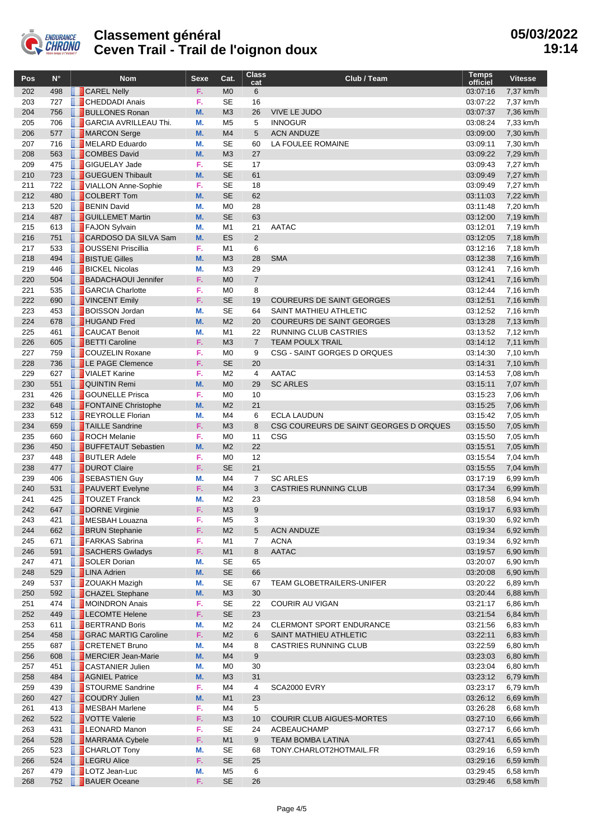

| Pos        | $N^{\circ}$ | <b>Nom</b>                                    | Sexe      | Cat.                             | <b>Class</b><br>cat  | Club / Team                            | <b>Temps</b><br>officiel | <b>Vitesse</b>         |
|------------|-------------|-----------------------------------------------|-----------|----------------------------------|----------------------|----------------------------------------|--------------------------|------------------------|
| 202        | 498         | <b>CAREL Nelly</b>                            | F.        | M <sub>0</sub>                   | 6                    |                                        | 03:07:16                 | 7,37 km/h              |
| 203        | 727         | <b>CHEDDADI Anais</b>                         | F.        | <b>SE</b>                        | 16                   |                                        | 03:07:22                 | 7,37 km/h              |
| 204        | 756         | <b>BULLONES Ronan</b>                         | <b>M.</b> | M <sub>3</sub>                   | 26                   | <b>VIVE LE JUDO</b>                    | 03:07:37                 | 7,36 km/h              |
| 205        | 706         | <b>GARCIA AVRILLEAU Thi.</b>                  | М.        | M <sub>5</sub>                   | 5                    | <b>INNOGUR</b>                         | 03:08:24                 | 7,33 km/h              |
| 206        | 577         | MARCON Serge                                  | <b>M.</b> | M <sub>4</sub>                   | 5                    | <b>ACN ANDUZE</b>                      | 03:09:00                 | 7,30 km/h              |
| 207        | 716         | MELARD Eduardo                                | M.        | <b>SE</b>                        | 60                   | LA FOULEE ROMAINE                      | 03:09:11                 | 7,30 km/h              |
| 208        | 563         | <b>COMBES David</b>                           | <b>M.</b> | M <sub>3</sub>                   | 27                   |                                        | 03:09:22                 | 7,29 km/h              |
| 209        | 475         | <b>GIGUELAY Jade</b>                          | F.        | <b>SE</b>                        | 17                   |                                        | 03:09:43                 | 7,27 km/h              |
| 210        | 723         | <b>GUEGUEN Thibault</b>                       | M.        | <b>SE</b>                        | 61                   |                                        | 03:09:49                 | 7,27 km/h              |
| 211        | 722         | VIALLON Anne-Sophie                           | F.        | <b>SE</b>                        | 18                   |                                        | 03:09:49                 | 7,27 km/h              |
| 212        | 480         | COLBERT Tom                                   | <b>M.</b> | <b>SE</b>                        | 62                   |                                        | 03:11:03                 | 7,22 km/h              |
| 213        | 520         | <b>BENIN David</b>                            | М.        | M <sub>0</sub>                   | 28                   |                                        | 03:11:48                 | 7,20 km/h              |
| 214        | 487         | <b>GUILLEMET Martin</b>                       | <b>M.</b> | <b>SE</b>                        | 63                   |                                        | 03:12:00                 | 7,19 km/h              |
| 215        | 613         | FAJON Sylvain                                 | M.        | M <sub>1</sub>                   | 21                   | <b>AATAC</b>                           | 03:12:01                 | 7,19 km/h              |
| 216        | 751         | CARDOSO DA SILVA Sam                          | <b>M.</b> | <b>ES</b>                        | $\overline{2}$       |                                        | 03:12:05                 | 7,18 km/h              |
| 217        | 533         | OUSSENI Priscillia                            | F.        | M <sub>1</sub>                   | 6                    |                                        | 03:12:16                 | 7,18 km/h              |
| 218        | 494         | <b>BISTUE Gilles</b>                          | <b>M.</b> | M <sub>3</sub>                   | 28                   | <b>SMA</b>                             | 03:12:38                 | 7,16 km/h              |
| 219        | 446         | <b>BICKEL Nicolas</b>                         | М.        | M3                               | 29                   |                                        | 03:12:41                 | 7,16 km/h              |
| 220        | 504         | <b>BADACHAOUI Jennifer</b>                    | F.        | M <sub>0</sub>                   | $\overline{7}$       |                                        | 03:12:41                 | 7,16 km/h              |
| 221        | 535         | <b>GARCIA Charlotte</b>                       | F.        | M <sub>0</sub>                   | 8                    |                                        | 03:12:44                 | 7,16 km/h              |
| 222        | 690         | VINCENT Emily                                 | F.        | <b>SE</b>                        | 19                   | <b>COUREURS DE SAINT GEORGES</b>       | 03:12:51                 | 7,16 km/h              |
| 223        | 453         | <b>BOISSON Jordan</b>                         | M.        | <b>SE</b>                        | 64                   | SAINT MATHIEU ATHLETIC                 | 03:12:52                 | 7,16 km/h              |
| 224        | 678         | <b>HUGAND</b> Fred                            | <b>M.</b> | M <sub>2</sub>                   | 20                   | <b>COUREURS DE SAINT GEORGES</b>       | 03:13:28                 | 7,13 km/h              |
| 225        | 461         | <b>CAUCAT Benoit</b>                          | М.        | M <sub>1</sub>                   | 22                   | RUNNING CLUB CASTRIES                  | 03:13:52                 | 7,12 km/h              |
| 226        | 605         | <b>BETTI Caroline</b>                         | F.        | M <sub>3</sub>                   | $\overline{7}$       | <b>TEAM POULX TRAIL</b>                | 03:14:12                 | 7,11 km/h              |
| 227        | 759         | COUZELIN Roxane                               | F.        | M <sub>0</sub>                   | 9                    | CSG - SAINT GORGES D ORQUES            | 03:14:30                 | 7,10 km/h              |
| 228<br>229 | 736         | <b>LE PAGE Clemence</b>                       | F.<br>F.  | <b>SE</b>                        | 20                   | <b>AATAC</b>                           | 03:14:31                 | 7,10 km/h              |
| 230        | 627         | VIALET Karine                                 | <b>M.</b> | M <sub>2</sub><br>M <sub>0</sub> | $\overline{4}$<br>29 |                                        | 03:14:53                 | 7,08 km/h              |
| 231        | 551<br>426  | <b>QUINTIN Remi</b><br><b>GOUNELLE Prisca</b> | F.        | M <sub>0</sub>                   | 10                   | <b>SC ARLES</b>                        | 03:15:11                 | 7,07 km/h<br>7,06 km/h |
| 232        | 648         | <b>FONTAINE Christophe</b>                    | <b>M.</b> | M <sub>2</sub>                   | 21                   |                                        | 03:15:23<br>03:15:25     | 7,06 km/h              |
| 233        | 512         | REYROLLE Florian                              | М.        | M4                               | 6                    | <b>ECLA LAUDUN</b>                     | 03:15:42                 | 7,05 km/h              |
| 234        | 659         | <b>TAILLE Sandrine</b>                        | F.        | M <sub>3</sub>                   | 8                    | CSG COUREURS DE SAINT GEORGES D ORQUES | 03:15:50                 | 7,05 km/h              |
| 235        | 660         | ROCH Melanie                                  | F.        | M <sub>0</sub>                   | 11                   | <b>CSG</b>                             | 03:15:50                 | 7,05 km/h              |
| 236        | 450         | <b>BUFFETAUT Sebastien</b>                    | <b>M.</b> | M <sub>2</sub>                   | 22                   |                                        | 03:15:51                 | 7,05 km/h              |
| 237        | 448         | <b>BUTLER Adele</b>                           | F.        | M <sub>0</sub>                   | 12                   |                                        | 03:15:54                 | 7,04 km/h              |
| 238        | 477         | DUROT Claire                                  | F.        | <b>SE</b>                        | 21                   |                                        | 03:15:55                 | 7,04 km/h              |
| 239        | 406         | SEBASTIEN Guy                                 | М.        | M4                               | $\overline{7}$       | <b>SC ARLES</b>                        | 03:17:19                 | 6,99 km/h              |
| 240        | 531         | <b>PAUVERT</b> Evelyne                        | F.        | M4                               | 3                    | <b>CASTRIES RUNNING CLUB</b>           | 03:17:34                 | 6,99 km/h              |
| 241        | 425         | <b>T</b> TOUZET Franck                        | М.        | M2                               | 23                   |                                        | 03:18:58                 | 6,94 km/h              |
| 242        | 647         | DORNE Virginie                                | F.        | M <sub>3</sub>                   | 9                    |                                        | 03:19:17                 | 6,93 km/h              |
| 243        | 421         | <b>MESBAH Louazna</b>                         | F.        | M5                               | 3                    |                                        | 03:19:30                 | 6,92 km/h              |
| 244        | 662         | <b>BRUN</b> Stephanie                         | F.        | M <sub>2</sub>                   | 5                    | <b>ACN ANDUZE</b>                      | 03:19:34                 | 6,92 km/h              |
| 245        | 671         | FARKAS Sabrina                                | F.        | M1                               | 7                    | <b>ACNA</b>                            | 03:19:34                 | 6,92 km/h              |
| 246        | 591         | SACHERS Gwladys                               | F.        | M1                               | 8                    | <b>AATAC</b>                           | 03:19:57                 | 6,90 km/h              |
| 247        | 471         | SOLER Dorian                                  | M.        | <b>SE</b>                        | 65                   |                                        | 03:20:07                 | 6,90 km/h              |
| 248        | 529         | <b>LINA Adrien</b>                            | M.        | SE                               | 66                   |                                        | 03:20:08                 | 6,90 km/h              |
| 249        | 537         | <b>ZOUAKH Mazigh</b>                          | M.        | <b>SE</b>                        | 67                   | TEAM GLOBETRAILERS-UNIFER              | 03:20:22                 | 6,89 km/h              |
| 250        | 592         | <b>CHAZEL Stephane</b>                        | M.        | M3                               | 30                   |                                        | 03:20:44                 | 6,88 km/h              |
| 251        | 474         | MOINDRON Anais                                | F.        | <b>SE</b>                        | 22                   | <b>COURIR AU VIGAN</b>                 | 03:21:17                 | 6,86 km/h              |
| 252        | 449         | LECOMTE Helene                                | F.        | <b>SE</b>                        | 23                   |                                        | 03:21:54                 | 6,84 km/h              |
| 253        | 611         | <b>BERTRAND Boris</b>                         | М.        | M2                               | 24                   | <b>CLERMONT SPORT ENDURANCE</b>        | 03:21:56                 | 6,83 km/h              |
| 254        | 458         | <b>GRAC MARTIG Caroline</b>                   | F.        | M <sub>2</sub>                   | 6                    | SAINT MATHIEU ATHLETIC                 | 03:22:11                 | 6,83 km/h              |
| 255        | 687         | <b>CRETENET Bruno</b>                         | M.        | M4                               | 8                    | <b>CASTRIES RUNNING CLUB</b>           | 03:22:59                 | 6,80 km/h              |
| 256        | 608         | MERCIER Jean-Marie                            | M.        | M4                               | 9                    |                                        | 03:23:03                 | 6,80 km/h              |
| 257        | 451         | <b>CASTANIER Julien</b>                       | M.        | M0                               | 30                   |                                        | 03:23:04                 | 6,80 km/h              |
| 258        | 484         | <b>AGNIEL Patrice</b>                         | M.        | M <sub>3</sub>                   | 31                   |                                        | 03:23:12                 | 6,79 km/h              |
| 259        | 439         | STOURME Sandrine                              | F.        | M4                               | 4                    | SCA2000 EVRY                           | 03:23:17                 | 6,79 km/h              |
| 260        | 427         | COUDRY Julien                                 | M.        | M1                               | 23                   |                                        | 03:26:12                 | 6,69 km/h              |
| 261        | 413         | MESBAH Marlene                                | F.        | M4                               | 5                    |                                        | 03:26:28                 | 6,68 km/h              |
| 262        | 522         | VOTTE Valerie                                 | F.        | M3                               | 10                   | <b>COURIR CLUB AIGUES-MORTES</b>       | 03:27:10                 | 6,66 km/h              |
| 263        | 431         | <b>LEONARD Manon</b>                          | F.        | <b>SE</b>                        | 24                   | ACBEAUCHAMP                            | 03:27:17                 | 6,66 km/h              |
| 264        | 528         | MARRAMA Cybele                                | F.        | M1                               | 9                    | TEAM BOMBA LATINA                      | 03:27:41                 | 6,65 km/h              |
| 265        | 523         | <b>CHARLOT Tony</b>                           | М.        | SE                               | 68                   | TONY.CHARLOT2HOTMAIL.FR                | 03:29:16                 | 6,59 km/h              |
| 266        | 524         | <b>TEGRU Alice</b>                            | F.        | <b>SE</b>                        | 25                   |                                        | 03:29:16                 | 6,59 km/h              |
| 267        | 479         | <b>LOTZ Jean-Luc</b>                          | М.        | M5                               | 6                    |                                        | 03:29:45                 | 6,58 km/h              |
| 268        | 752         | <b>BAUER Oceane</b>                           | F.        | <b>SE</b>                        | 26                   |                                        | 03:29:46                 | 6,58 km/h              |